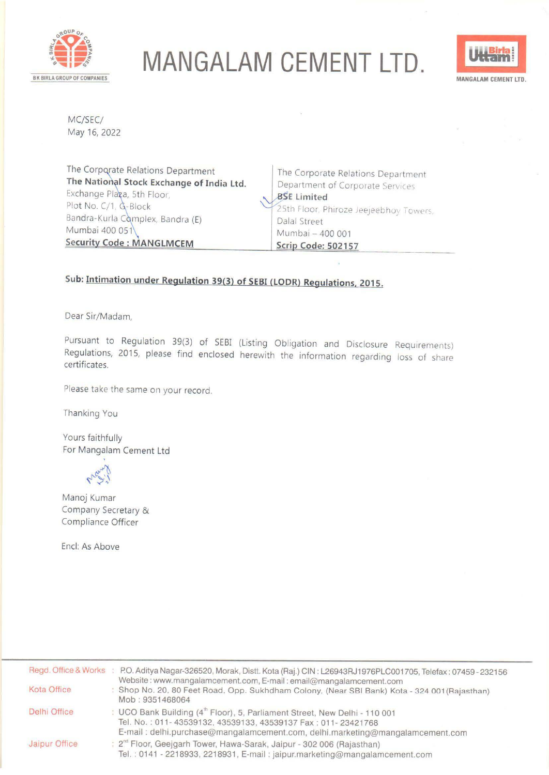

## **MANGALAM CEMENT LTD.**



MC/SEC/ May 16, 2022

The Corporate Relations Department **The National Stock Exchange of India Ltd.** Exchange Plaga, 5th Floor, Plot No. C/1, G-Block Bandra-Kurla Complex, Bandra (E) Mumbai 400 051 **Security Code: MANGLMCEM** 

The Corporate Relations Department Department of Corporate Service, **BSE** Limited 25th Floor, Phiroze Jeejeebhoy Towers, Dalal Street Mumbai - 400 001 **Scrip Code: 502157** 

## **Sub: Intimation under Regulation 39(3) of SEBI (LODR) Regulations. 2015.**

Dear Sir/Madam,

Pursuant to Regulation 39(3) of SEBI (Listing Obligation and Disclosure Requirements) Regulations, 2015, please find enclosed herewith the information regarding loss of share certificates.

Please take the same on your record.

Thanking You

Yours faithfully For Mangalam Cement Ltd



Manoj Kumar Company Secretary & Compliance Officer

Encl: As Above

|                     | Regd. Office & Works : P.O. Aditya Nagar-326520, Morak, Distt. Kota (Raj.) CIN: L26943RJ1976PLC001705, Telefax: 07459-232156<br>Website: www.mangalamcement.com, E-mail: email@mangalamcement.com                                       |
|---------------------|-----------------------------------------------------------------------------------------------------------------------------------------------------------------------------------------------------------------------------------------|
| Kota Office         | : Shop No. 20, 80 Feet Road, Opp. Sukhdham Colony, (Near SBI Bank) Kota - 324 001 (Rajasthan)<br>Mob: 9351468064                                                                                                                        |
| <b>Delhi Office</b> | : UCO Bank Building (4 <sup>th</sup> Floor), 5, Parliament Street, New Delhi - 110 001<br>Tel. No.: 011-43539132, 43539133, 43539137 Fax: 011-23421768<br>E-mail: delhi.purchase@mangalamcement.com, delhi.marketing@mangalamcement.com |
| Jaipur Office       | : 2 <sup>nd</sup> Floor, Geejgarh Tower, Hawa-Sarak, Jaipur - 302 006 (Rajasthan)<br>Tel.: 0141 - 2218933, 2218931, E-mail: jaipur.marketing@mangalamcement.com                                                                         |